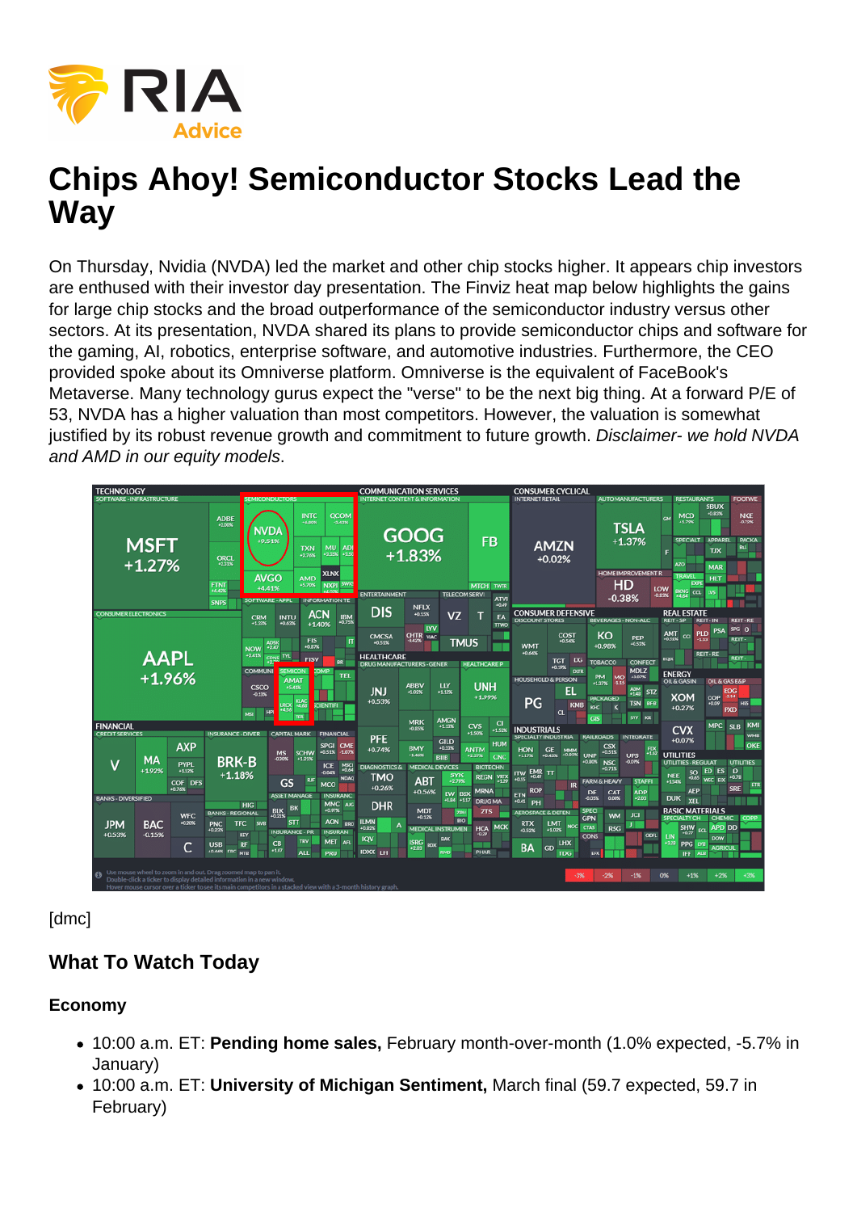# Chips Ahoy! Semiconductor Stocks Lead the **Way**

On Thursday, Nvidia (NVDA) led the market and other chip stocks higher. It appears chip investors are enthused with their investor day presentation. The Finviz heat map below highlights the gains for large chip stocks and the broad outperformance of the semiconductor industry versus other sectors. At its presentation, NVDA shared its plans to provide semiconductor chips and software for the gaming, AI, robotics, enterprise software, and automotive industries. Furthermore, the CEO provided spoke about its Omniverse platform. Omniverse is the equivalent of FaceBook's Metaverse. Many technology gurus expect the "verse" to be the next big thing. At a forward P/E of 53, NVDA has a higher valuation than most competitors. However, the valuation is somewhat justified by its robust revenue growth and commitment to future growth. Disclaimer- we hold NVDA and AMD in our equity models.

[dmc]

## What To Watch Today

Economy

- 10:00 a.m. ET: Pending home sales, February month-over-month (1.0% expected, -5.7% in January)
- 10:00 a.m. ET: University of Michigan Sentiment. March final (59.7 expected, 59.7 in February)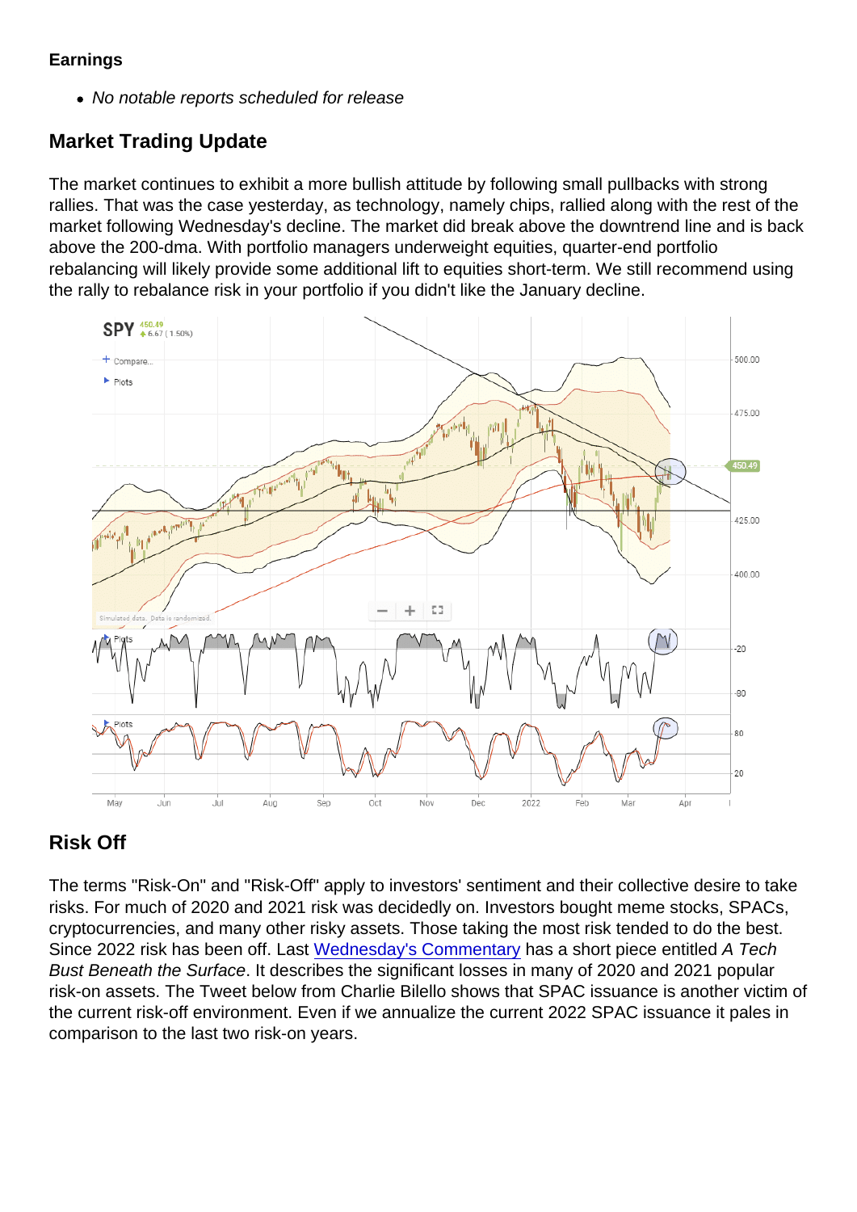#### **Earnings**

No notable reports scheduled for release

## Market Trading Update

The market continues to exhibit a more bullish attitude by following small pullbacks with strong rallies. That was the case yesterday, as technology, namely chips, rallied along with the rest of the market following Wednesday's decline. The market did break above the downtrend line and is back above the 200-dma. With portfolio managers underweight equities, quarter-end portfolio rebalancing will likely provide some additional lift to equities short-term. We still recommend using the rally to rebalance risk in your portfolio if you didn't like the January decline.

## Risk Off

The terms "Risk-On" and "Risk-Off" apply to investors' sentiment and their collective desire to take risks. For much of 2020 and 2021 risk was decidedly on. Investors bought meme stocks, SPACs, cryptocurrencies, and many other risky assets. Those taking the most risk tended to do the best. Since 2022 risk has been off. Last [Wednesday's Commentary](https://realinvestmentadvice.com/yield-surge-yet-stocks-rally-on/) has a short piece entitled A Tech Bust Beneath the Surface. It describes the significant losses in many of 2020 and 2021 popular risk-on assets. The Tweet below from Charlie Bilello shows that SPAC issuance is another victim of the current risk-off environment. Even if we annualize the current 2022 SPAC issuance it pales in comparison to the last two risk-on years.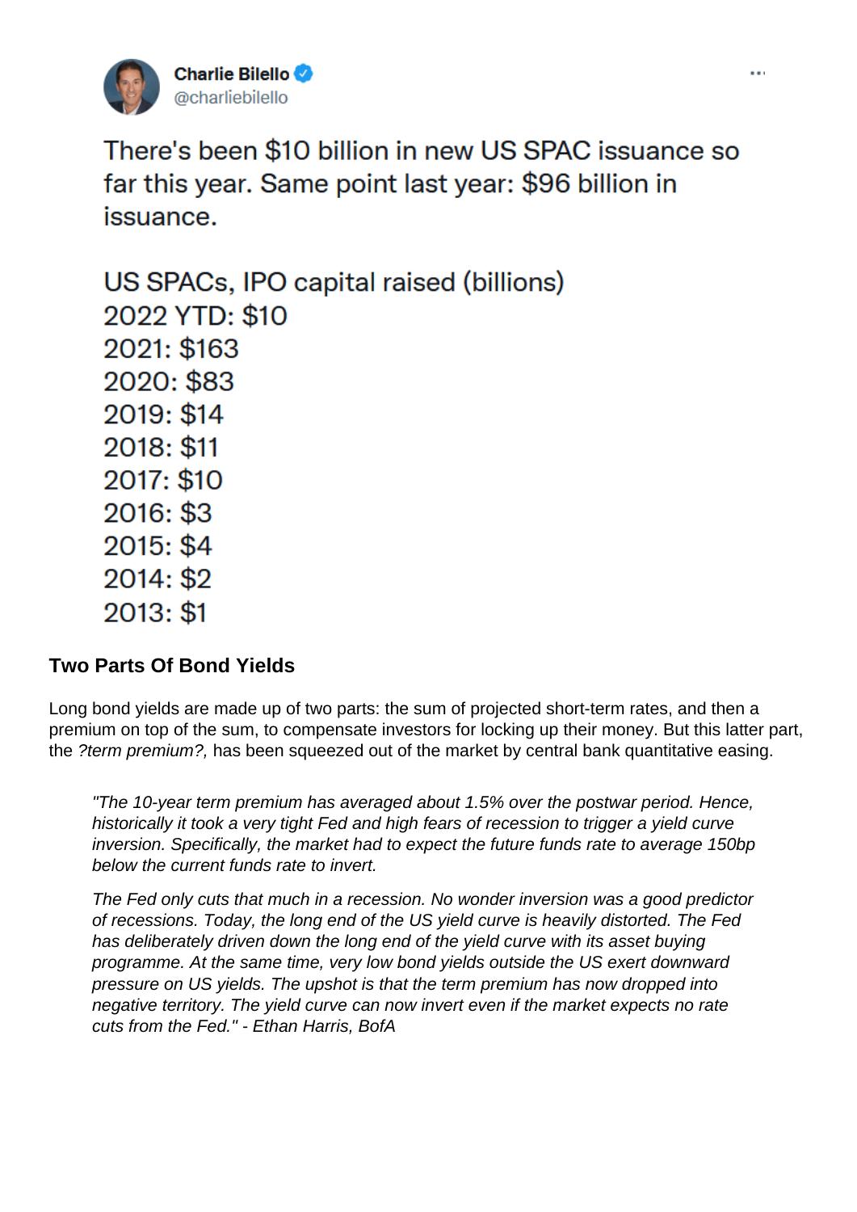#### Two Parts Of Bond Yields

Long bond yields are made up of two parts: the sum of projected short-term rates, and then a premium on top of the sum, to compensate investors for locking up their money. But this latter part, the ?term premium?, has been squeezed out of the market by central bank quantitative easing.

"The 10-year term premium has averaged about 1.5% over the postwar period. Hence, historically it took a very tight Fed and high fears of recession to trigger a yield curve inversion. Specifically, the market had to expect the future funds rate to average 150bp below the current funds rate to invert.

The Fed only cuts that much in a recession. No wonder inversion was a good predictor of recessions. Today, the long end of the US yield curve is heavily distorted. The Fed has deliberately driven down the long end of the yield curve with its asset buying programme. At the same time, very low bond yields outside the US exert downward pressure on US yields. The upshot is that the term premium has now dropped into negative territory. The yield curve can now invert even if the market expects no rate cuts from the Fed." - Ethan Harris, BofA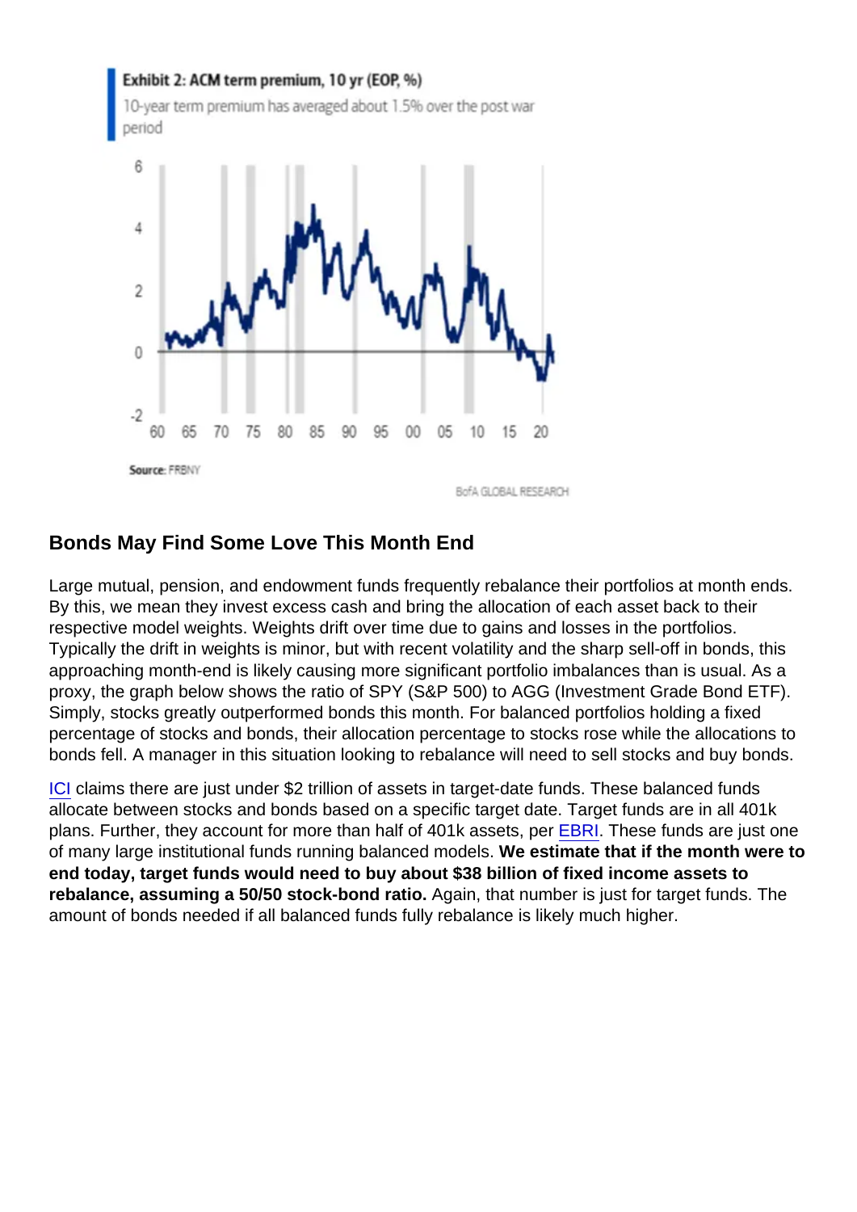#### Bonds May Find Some Love This Month End

Large mutual, pension, and endowment funds frequently rebalance their portfolios at month ends. By this, we mean they invest excess cash and bring the allocation of each asset back to their respective model weights. Weights drift over time due to gains and losses in the portfolios. Typically the drift in weights is minor, but with recent volatility and the sharp sell-off in bonds, this approaching month-end is likely causing more significant portfolio imbalances than is usual. As a proxy, the graph below shows the ratio of SPY (S&P 500) to AGG (Investment Grade Bond ETF). Simply, stocks greatly outperformed bonds this month. For balanced portfolios holding a fixed percentage of stocks and bonds, their allocation percentage to stocks rose while the allocations to bonds fell. A manager in this situation looking to rebalance will need to sell stocks and buy bonds.

[ICI](https://www.ici.org/system/files/2021-05/2021_factbook.pdf) claims there are just under \$2 trillion of assets in target-date funds. These balanced funds allocate between stocks and bonds based on a specific target date. Target funds are in all 401k plans. Further, they account for more than half of 401k assets, per [EBRI](https://www.ebri.org/content/target-date-funds-evidence-points-to-growing-popularity-and-appropriate-use-by-401(k)-plan-participants). These funds are just one of many large institutional funds running balanced models. We estimate that if the month were to end today, target funds would need to buy about \$38 billion of fixed income assets to rebalance, assuming a 50/50 stock-bond ratio. Again, that number is just for target funds. The amount of bonds needed if all balanced funds fully rebalance is likely much higher.